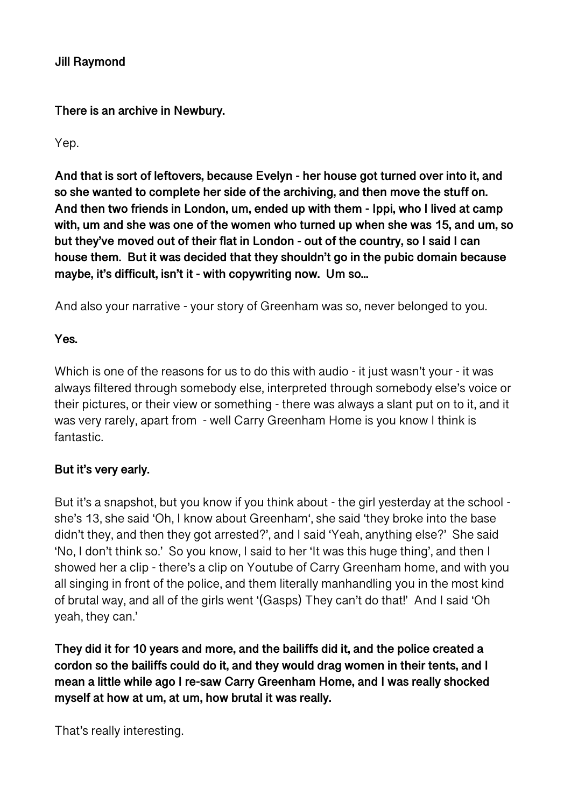**Jill Raymond** 

**There is an archive in Newbury.** 

Yep.

**And that is sort of leftovers, because Evelyn - her house got turned over into it, and so she wanted to complete her side of the archiving, and then move the stuff on. And then two friends in London, um, ended up with them - Ippi, who I lived at camp with, um and she was one of the women who turned up when she was 15, and um, so but they've moved out of their flat in London - out of the country, so I said I can house them. But it was decided that they shouldn't go in the pubic domain because maybe, it's difficult, isn't it - with copywriting now. Um so...** 

And also your narrative - your story of Greenham was so, never belonged to you.

**Yes.** 

Which is one of the reasons for us to do this with audio - it just wasn't your - it was always filtered through somebody else, interpreted through somebody else's voice or their pictures, or their view or something - there was always a slant put on to it, and it was very rarely, apart from - well Carry Greenham Home is you know I think is fantastic.

# **But it's very early.**

But it's a snapshot, but you know if you think about - the girl yesterday at the school she's 13, she said 'Oh, I know about Greenham', she said 'they broke into the base didn't they, and then they got arrested?', and I said 'Yeah, anything else?' She said 'No, I don't think so.' So you know, I said to her 'It was this huge thing', and then I showed her a clip - there's a clip on Youtube of Carry Greenham home, and with you all singing in front of the police, and them literally manhandling you in the most kind of brutal way, and all of the girls went '(Gasps) They can't do that!' And I said 'Oh yeah, they can.'

**They did it for 10 years and more, and the bailiffs did it, and the police created a cordon so the bailiffs could do it, and they would drag women in their tents, and I mean a little while ago I re-saw Carry Greenham Home, and I was really shocked myself at how at um, at um, how brutal it was really.** 

That's really interesting.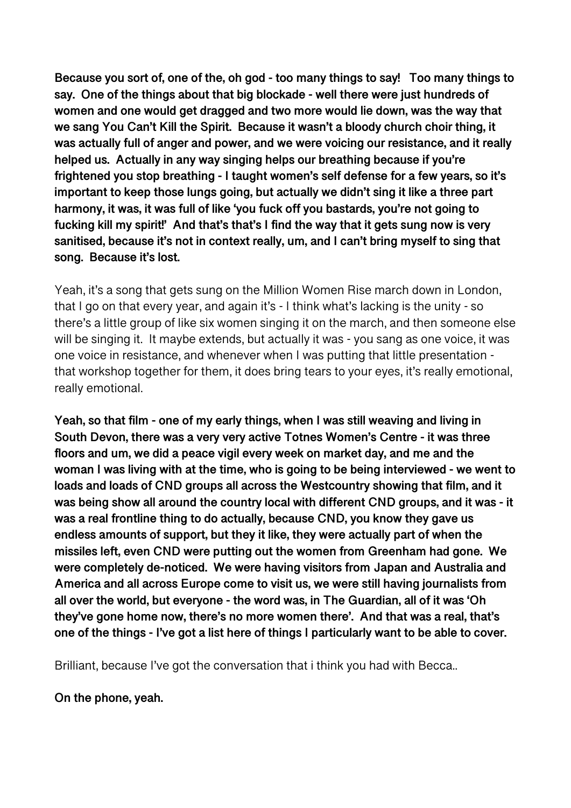**Because you sort of, one of the, oh god - too many things to say! Too many things to say. One of the things about that big blockade - well there were just hundreds of women and one would get dragged and two more would lie down, was the way that we sang You Can't Kill the Spirit. Because it wasn't a bloody church choir thing, it was actually full of anger and power, and we were voicing our resistance, and it really helped us. Actually in any way singing helps our breathing because if you're frightened you stop breathing - I taught women's self defense for a few years, so it's important to keep those lungs going, but actually we didn't sing it like a three part harmony, it was, it was full of like 'you fuck off you bastards, you're not going to fucking kill my spirit!' And that's that's I find the way that it gets sung now is very sanitised, because it's not in context really, um, and I can't bring myself to sing that song. Because it's lost.** 

Yeah, it's a song that gets sung on the Million Women Rise march down in London, that I go on that every year, and again it's - I think what's lacking is the unity - so there's a little group of like six women singing it on the march, and then someone else will be singing it. It maybe extends, but actually it was - you sang as one voice, it was one voice in resistance, and whenever when I was putting that little presentation that workshop together for them, it does bring tears to your eyes, it's really emotional, really emotional.

**Yeah, so that film - one of my early things, when I was still weaving and living in South Devon, there was a very very active Totnes Women's Centre - it was three floors and um, we did a peace vigil every week on market day, and me and the woman I was living with at the time, who is going to be being interviewed - we went to loads and loads of CND groups all across the Westcountry showing that film, and it was being show all around the country local with different CND groups, and it was - it was a real frontline thing to do actually, because CND, you know they gave us endless amounts of support, but they it like, they were actually part of when the missiles left, even CND were putting out the women from Greenham had gone. We were completely de-noticed. We were having visitors from Japan and Australia and America and all across Europe come to visit us, we were still having journalists from all over the world, but everyone - the word was, in The Guardian, all of it was 'Oh they've gone home now, there's no more women there'. And that was a real, that's one of the things - I've got a list here of things I particularly want to be able to cover.** 

Brilliant, because I've got the conversation that i think you had with Becca..

### **On the phone, yeah.**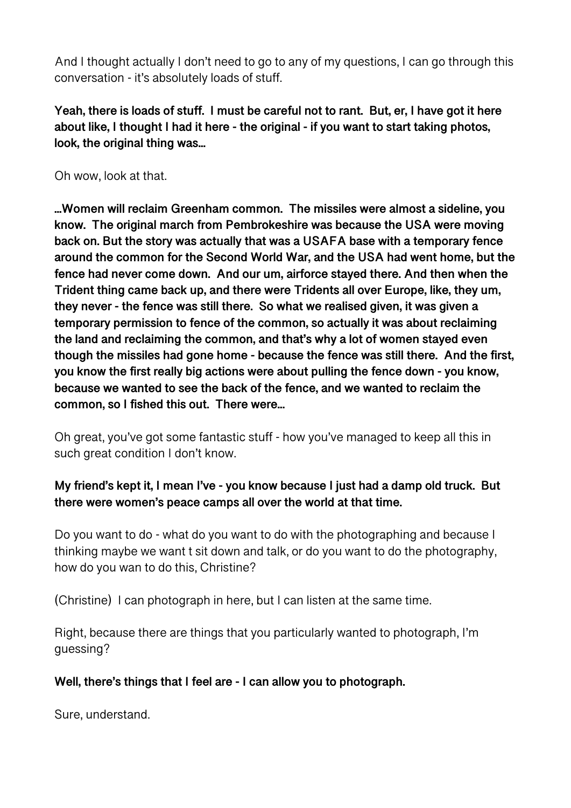And I thought actually I don't need to go to any of my questions, I can go through this conversation - it's absolutely loads of stuff.

**Yeah, there is loads of stuff. I must be careful not to rant. But, er, I have got it here about like, I thought I had it here - the original - if you want to start taking photos, look, the original thing was...** 

Oh wow, look at that.

**...Women will reclaim Greenham common. The missiles were almost a sideline, you know. The original march from Pembrokeshire was because the USA were moving back on. But the story was actually that was a USAFA base with a temporary fence around the common for the Second World War, and the USA had went home, but the fence had never come down. And our um, airforce stayed there. And then when the Trident thing came back up, and there were Tridents all over Europe, like, they um, they never - the fence was still there. So what we realised given, it was given a temporary permission to fence of the common, so actually it was about reclaiming the land and reclaiming the common, and that's why a lot of women stayed even though the missiles had gone home - because the fence was still there. And the first, you know the first really big actions were about pulling the fence down - you know, because we wanted to see the back of the fence, and we wanted to reclaim the common, so I fished this out. There were...** 

Oh great, you've got some fantastic stuff - how you've managed to keep all this in such great condition I don't know.

# **My friend's kept it, I mean I've - you know because I just had a damp old truck. But there were women's peace camps all over the world at that time.**

Do you want to do - what do you want to do with the photographing and because I thinking maybe we want t sit down and talk, or do you want to do the photography, how do you wan to do this, Christine?

(Christine) I can photograph in here, but I can listen at the same time.

Right, because there are things that you particularly wanted to photograph, I'm guessing?

## **Well, there's things that I feel are - I can allow you to photograph.**

Sure, understand.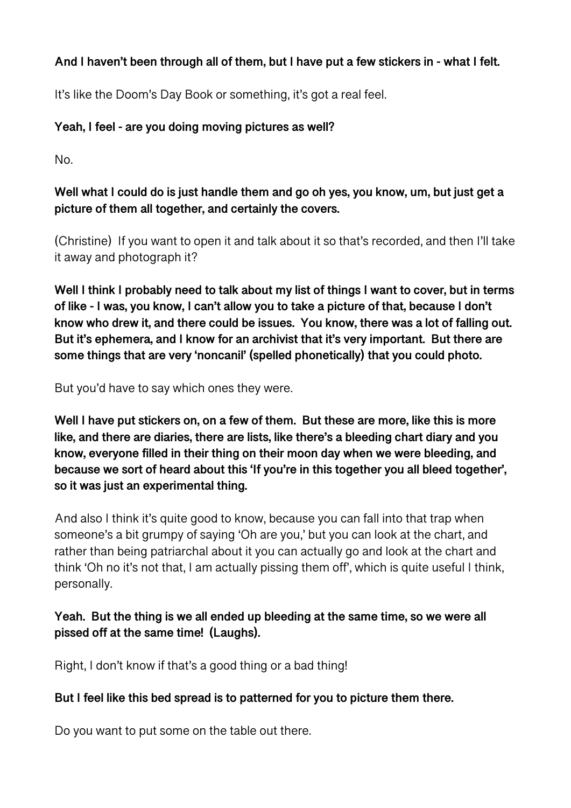## **And I haven't been through all of them, but I have put a few stickers in - what I felt.**

It's like the Doom's Day Book or something, it's got a real feel.

## **Yeah, I feel - are you doing moving pictures as well?**

No.

## **Well what I could do is just handle them and go oh yes, you know, um, but just get a picture of them all together, and certainly the covers.**

(Christine) If you want to open it and talk about it so that's recorded, and then I'll take it away and photograph it?

**Well I think I probably need to talk about my list of things I want to cover, but in terms of like - I was, you know, I can't allow you to take a picture of that, because I don't know who drew it, and there could be issues. You know, there was a lot of falling out. But it's ephemera, and I know for an archivist that it's very important. But there are some things that are very 'noncanil' (spelled phonetically) that you could photo.** 

But you'd have to say which ones they were.

**Well I have put stickers on, on a few of them. But these are more, like this is more like, and there are diaries, there are lists, like there's a bleeding chart diary and you know, everyone filled in their thing on their moon day when we were bleeding, and because we sort of heard about this 'If you're in this together you all bleed together', so it was just an experimental thing.** 

And also I think it's quite good to know, because you can fall into that trap when someone's a bit grumpy of saying 'Oh are you,' but you can look at the chart, and rather than being patriarchal about it you can actually go and look at the chart and think 'Oh no it's not that, I am actually pissing them off', which is quite useful I think, personally.

## **Yeah. But the thing is we all ended up bleeding at the same time, so we were all pissed off at the same time! (Laughs).**

Right, I don't know if that's a good thing or a bad thing!

### **But I feel like this bed spread is to patterned for you to picture them there.**

Do you want to put some on the table out there.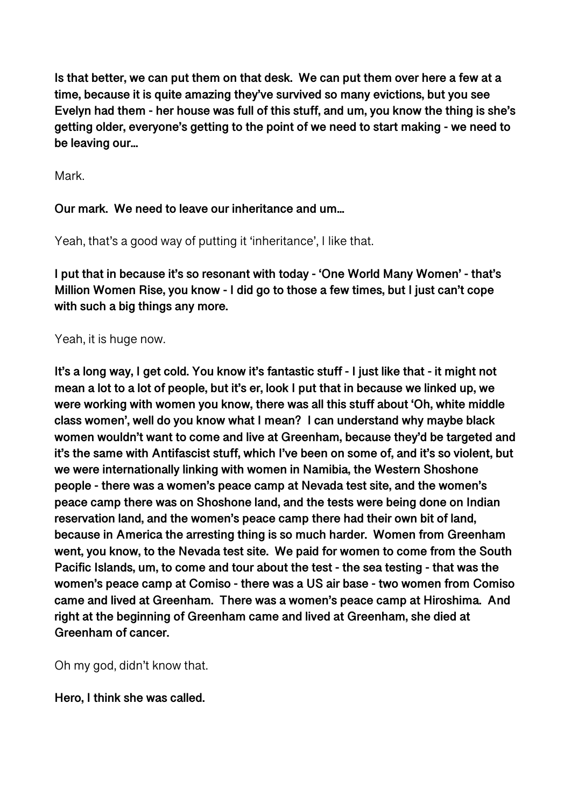**Is that better, we can put them on that desk. We can put them over here a few at a time, because it is quite amazing they've survived so many evictions, but you see Evelyn had them - her house was full of this stuff, and um, you know the thing is she's getting older, everyone's getting to the point of we need to start making - we need to be leaving our...** 

Mark.

## **Our mark. We need to leave our inheritance and um...**

Yeah, that's a good way of putting it 'inheritance', I like that.

**I put that in because it's so resonant with today - 'One World Many Women' - that's Million Women Rise, you know - I did go to those a few times, but I just can't cope with such a big things any more.** 

Yeah, it is huge now.

**It's a long way, I get cold. You know it's fantastic stuff - I just like that - it might not mean a lot to a lot of people, but it's er, look I put that in because we linked up, we were working with women you know, there was all this stuff about 'Oh, white middle class women', well do you know what I mean? I can understand why maybe black women wouldn't want to come and live at Greenham, because they'd be targeted and it's the same with Antifascist stuff, which I've been on some of, and it's so violent, but we were internationally linking with women in Namibia, the Western Shoshone people - there was a women's peace camp at Nevada test site, and the women's peace camp there was on Shoshone land, and the tests were being done on Indian reservation land, and the women's peace camp there had their own bit of land, because in America the arresting thing is so much harder. Women from Greenham went, you know, to the Nevada test site. We paid for women to come from the South Pacific Islands, um, to come and tour about the test - the sea testing - that was the women's peace camp at Comiso - there was a US air base - two women from Comiso came and lived at Greenham. There was a women's peace camp at Hiroshima. And right at the beginning of Greenham came and lived at Greenham, she died at Greenham of cancer.** 

Oh my god, didn't know that.

**Hero, I think she was called.**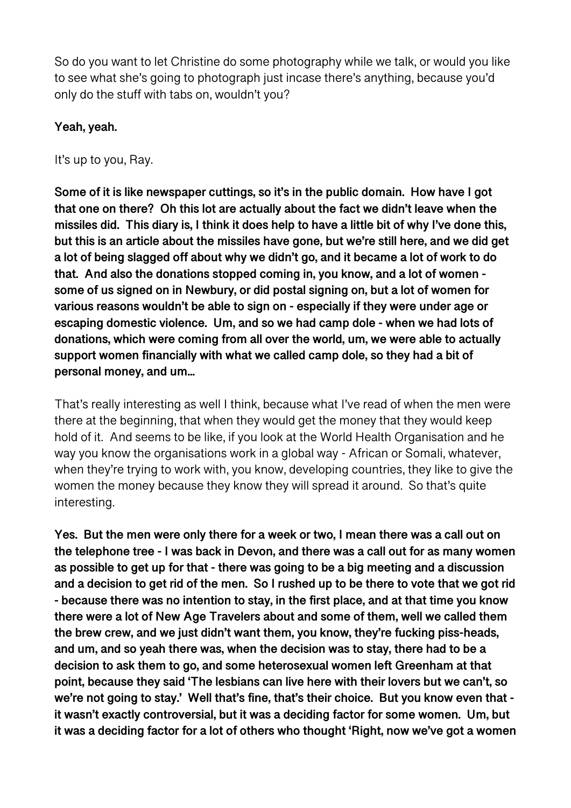So do you want to let Christine do some photography while we talk, or would you like to see what she's going to photograph just incase there's anything, because you'd only do the stuff with tabs on, wouldn't you?

## **Yeah, yeah.**

It's up to you, Ray.

**Some of it is like newspaper cuttings, so it's in the public domain. How have I got that one on there? Oh this lot are actually about the fact we didn't leave when the missiles did. This diary is, I think it does help to have a little bit of why I've done this, but this is an article about the missiles have gone, but we're still here, and we did get a lot of being slagged off about why we didn't go, and it became a lot of work to do that. And also the donations stopped coming in, you know, and a lot of women some of us signed on in Newbury, or did postal signing on, but a lot of women for various reasons wouldn't be able to sign on - especially if they were under age or escaping domestic violence. Um, and so we had camp dole - when we had lots of donations, which were coming from all over the world, um, we were able to actually support women financially with what we called camp dole, so they had a bit of personal money, and um...** 

That's really interesting as well I think, because what I've read of when the men were there at the beginning, that when they would get the money that they would keep hold of it. And seems to be like, if you look at the World Health Organisation and he way you know the organisations work in a global way - African or Somali, whatever, when they're trying to work with, you know, developing countries, they like to give the women the money because they know they will spread it around. So that's quite interesting.

**Yes. But the men were only there for a week or two, I mean there was a call out on the telephone tree - I was back in Devon, and there was a call out for as many women as possible to get up for that - there was going to be a big meeting and a discussion and a decision to get rid of the men. So I rushed up to be there to vote that we got rid - because there was no intention to stay, in the first place, and at that time you know there were a lot of New Age Travelers about and some of them, well we called them the brew crew, and we just didn't want them, you know, they're fucking piss-heads, and um, and so yeah there was, when the decision was to stay, there had to be a decision to ask them to go, and some heterosexual women left Greenham at that point, because they said 'The lesbians can live here with their lovers but we can't, so we're not going to stay.' Well that's fine, that's their choice. But you know even that it wasn't exactly controversial, but it was a deciding factor for some women. Um, but it was a deciding factor for a lot of others who thought 'Right, now we've got a women**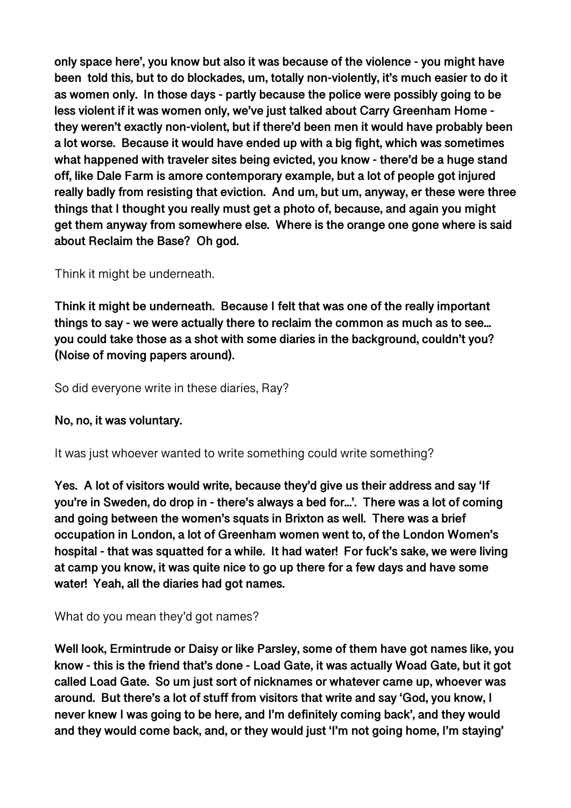**only space here', you know but also it was because of the violence - you might have been told this, but to do blockades, um, totally non-violently, it's much easier to do it as women only. In those days - partly because the police were possibly going to be less violent if it was women only, we've just talked about Carry Greenham Home they weren't exactly non-violent, but if there'd been men it would have probably been a lot worse. Because it would have ended up with a big fight, which was sometimes what happened with traveler sites being evicted, you know - there'd be a huge stand off, like Dale Farm is amore contemporary example, but a lot of people got injured really badly from resisting that eviction. And um, but um, anyway, er these were three things that I thought you really must get a photo of, because, and again you might get them anyway from somewhere else. Where is the orange one gone where is said about Reclaim the Base? Oh god.** 

## Think it might be underneath.

**Think it might be underneath. Because I felt that was one of the really important things to say - we were actually there to reclaim the common as much as to see... you could take those as a shot with some diaries in the background, couldn't you? (Noise of moving papers around).** 

So did everyone write in these diaries, Ray?

### **No, no, it was voluntary.**

It was just whoever wanted to write something could write something?

**Yes. A lot of visitors would write, because they'd give us their address and say 'If you're in Sweden, do drop in - there's always a bed for...'. There was a lot of coming and going between the women's squats in Brixton as well. There was a brief occupation in London, a lot of Greenham women went to, of the London Women's hospital - that was squatted for a while. It had water! For fuck's sake, we were living at camp you know, it was quite nice to go up there for a few days and have some water! Yeah, all the diaries had got names.** 

### What do you mean they'd got names?

**Well look, Ermintrude or Daisy or like Parsley, some of them have got names like, you know - this is the friend that's done - Load Gate, it was actually Woad Gate, but it got called Load Gate. So um just sort of nicknames or whatever came up, whoever was around. But there's a lot of stuff from visitors that write and say 'God, you know, I never knew I was going to be here, and I'm definitely coming back', and they would and they would come back, and, or they would just 'I'm not going home, I'm staying'**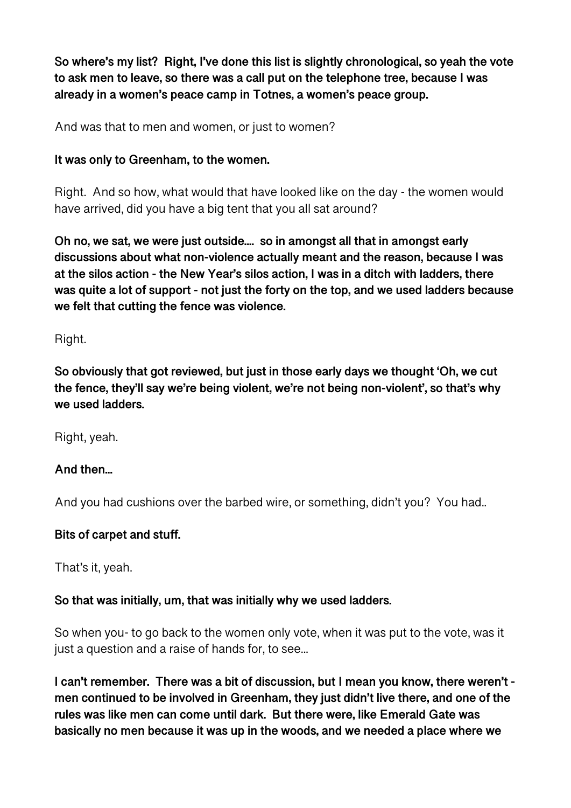**So where's my list? Right, I've done this list is slightly chronological, so yeah the vote to ask men to leave, so there was a call put on the telephone tree, because I was already in a women's peace camp in Totnes, a women's peace group.** 

And was that to men and women, or just to women?

## **It was only to Greenham, to the women.**

Right. And so how, what would that have looked like on the day - the women would have arrived, did you have a big tent that you all sat around?

**Oh no, we sat, we were just outside.... so in amongst all that in amongst early discussions about what non-violence actually meant and the reason, because I was at the silos action - the New Year's silos action, I was in a ditch with ladders, there was quite a lot of support - not just the forty on the top, and we used ladders because we felt that cutting the fence was violence.** 

Right.

**So obviously that got reviewed, but just in those early days we thought 'Oh, we cut the fence, they'll say we're being violent, we're not being non-violent', so that's why we used ladders.** 

Right, yeah.

## **And then...**

And you had cushions over the barbed wire, or something, didn't you? You had..

## **Bits of carpet and stuff.**

That's it, yeah.

### **So that was initially, um, that was initially why we used ladders.**

So when you- to go back to the women only vote, when it was put to the vote, was it just a question and a raise of hands for, to see...

**I can't remember. There was a bit of discussion, but I mean you know, there weren't men continued to be involved in Greenham, they just didn't live there, and one of the rules was like men can come until dark. But there were, like Emerald Gate was basically no men because it was up in the woods, and we needed a place where we**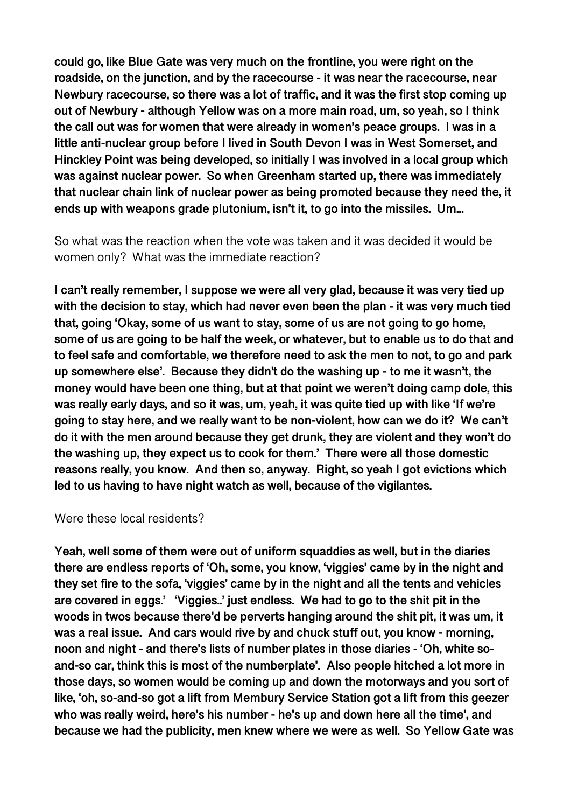**could go, like Blue Gate was very much on the frontline, you were right on the roadside, on the junction, and by the racecourse - it was near the racecourse, near Newbury racecourse, so there was a lot of traffic, and it was the first stop coming up out of Newbury - although Yellow was on a more main road, um, so yeah, so I think the call out was for women that were already in women's peace groups. I was in a little anti-nuclear group before I lived in South Devon I was in West Somerset, and Hinckley Point was being developed, so initially I was involved in a local group which was against nuclear power. So when Greenham started up, there was immediately that nuclear chain link of nuclear power as being promoted because they need the, it ends up with weapons grade plutonium, isn't it, to go into the missiles. Um...** 

So what was the reaction when the vote was taken and it was decided it would be women only? What was the immediate reaction?

**I can't really remember, I suppose we were all very glad, because it was very tied up with the decision to stay, which had never even been the plan - it was very much tied that, going 'Okay, some of us want to stay, some of us are not going to go home, some of us are going to be half the week, or whatever, but to enable us to do that and to feel safe and comfortable, we therefore need to ask the men to not, to go and park up somewhere else'. Because they didn't do the washing up - to me it wasn't, the money would have been one thing, but at that point we weren't doing camp dole, this was really early days, and so it was, um, yeah, it was quite tied up with like 'If we're going to stay here, and we really want to be non-violent, how can we do it? We can't do it with the men around because they get drunk, they are violent and they won't do the washing up, they expect us to cook for them.' There were all those domestic reasons really, you know. And then so, anyway. Right, so yeah I got evictions which led to us having to have night watch as well, because of the vigilantes.** 

#### Were these local residents?

**Yeah, well some of them were out of uniform squaddies as well, but in the diaries there are endless reports of 'Oh, some, you know, 'viggies' came by in the night and they set fire to the sofa, 'viggies' came by in the night and all the tents and vehicles are covered in eggs.' 'Viggies..' just endless. We had to go to the shit pit in the woods in twos because there'd be perverts hanging around the shit pit, it was um, it was a real issue. And cars would rive by and chuck stuff out, you know - morning, noon and night - and there's lists of number plates in those diaries - 'Oh, white soand-so car, think this is most of the numberplate'. Also people hitched a lot more in those days, so women would be coming up and down the motorways and you sort of like, 'oh, so-and-so got a lift from Membury Service Station got a lift from this geezer who was really weird, here's his number - he's up and down here all the time', and because we had the publicity, men knew where we were as well. So Yellow Gate was**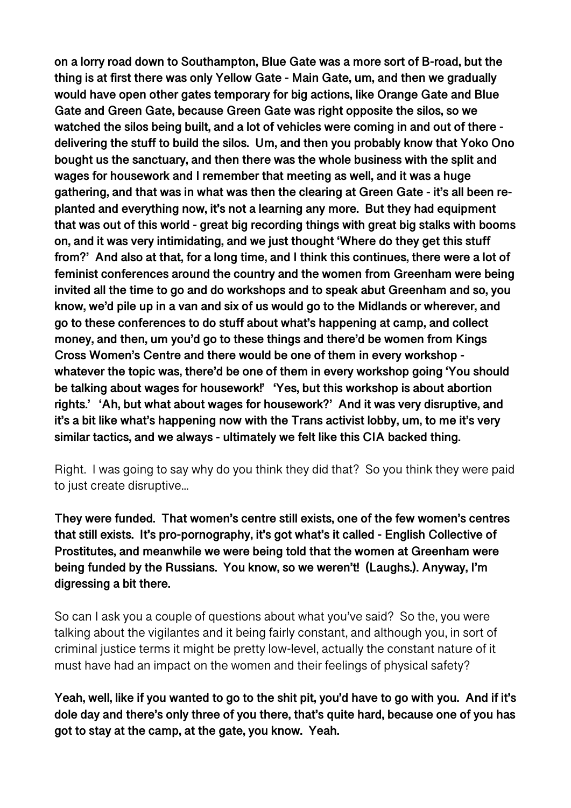**on a lorry road down to Southampton, Blue Gate was a more sort of B-road, but the thing is at first there was only Yellow Gate - Main Gate, um, and then we gradually would have open other gates temporary for big actions, like Orange Gate and Blue Gate and Green Gate, because Green Gate was right opposite the silos, so we watched the silos being built, and a lot of vehicles were coming in and out of there delivering the stuff to build the silos. Um, and then you probably know that Yoko Ono bought us the sanctuary, and then there was the whole business with the split and wages for housework and I remember that meeting as well, and it was a huge gathering, and that was in what was then the clearing at Green Gate - it's all been replanted and everything now, it's not a learning any more. But they had equipment that was out of this world - great big recording things with great big stalks with booms on, and it was very intimidating, and we just thought 'Where do they get this stuff from?' And also at that, for a long time, and I think this continues, there were a lot of feminist conferences around the country and the women from Greenham were being invited all the time to go and do workshops and to speak abut Greenham and so, you know, we'd pile up in a van and six of us would go to the Midlands or wherever, and go to these conferences to do stuff about what's happening at camp, and collect money, and then, um you'd go to these things and there'd be women from Kings Cross Women's Centre and there would be one of them in every workshop whatever the topic was, there'd be one of them in every workshop going 'You should be talking about wages for housework!' 'Yes, but this workshop is about abortion rights.' 'Ah, but what about wages for housework?' And it was very disruptive, and it's a bit like what's happening now with the Trans activist lobby, um, to me it's very similar tactics, and we always - ultimately we felt like this CIA backed thing.** 

Right. I was going to say why do you think they did that? So you think they were paid to just create disruptive...

**They were funded. That women's centre still exists, one of the few women's centres that still exists. It's pro-pornography, it's got what's it called - English Collective of Prostitutes, and meanwhile we were being told that the women at Greenham were being funded by the Russians. You know, so we weren't! (Laughs.). Anyway, I'm digressing a bit there.** 

So can I ask you a couple of questions about what you've said? So the, you were talking about the vigilantes and it being fairly constant, and although you, in sort of criminal justice terms it might be pretty low-level, actually the constant nature of it must have had an impact on the women and their feelings of physical safety?

**Yeah, well, like if you wanted to go to the shit pit, you'd have to go with you. And if it's dole day and there's only three of you there, that's quite hard, because one of you has got to stay at the camp, at the gate, you know. Yeah.**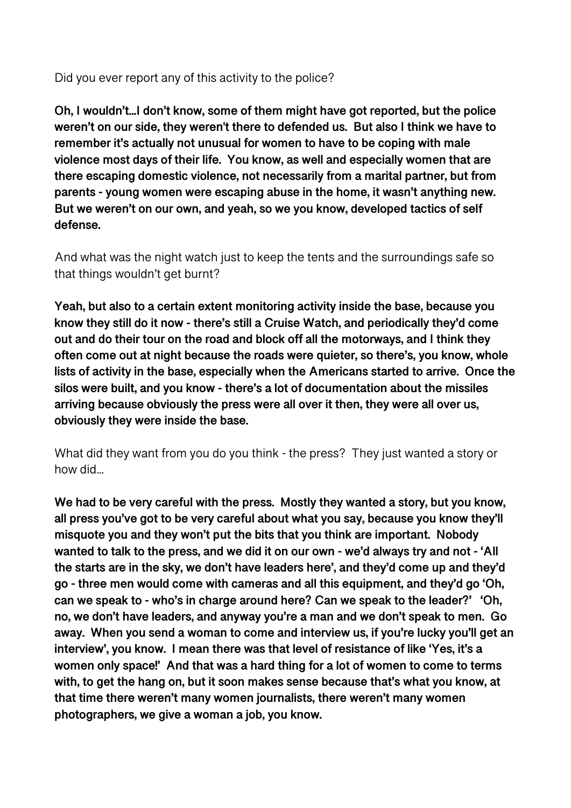Did you ever report any of this activity to the police?

**Oh, I wouldn't...I don't know, some of them might have got reported, but the police weren't on our side, they weren't there to defended us. But also I think we have to remember it's actually not unusual for women to have to be coping with male violence most days of their life. You know, as well and especially women that are there escaping domestic violence, not necessarily from a marital partner, but from parents - young women were escaping abuse in the home, it wasn't anything new. But we weren't on our own, and yeah, so we you know, developed tactics of self defense.** 

And what was the night watch just to keep the tents and the surroundings safe so that things wouldn't get burnt?

**Yeah, but also to a certain extent monitoring activity inside the base, because you know they still do it now - there's still a Cruise Watch, and periodically they'd come out and do their tour on the road and block off all the motorways, and I think they often come out at night because the roads were quieter, so there's, you know, whole lists of activity in the base, especially when the Americans started to arrive. Once the silos were built, and you know - there's a lot of documentation about the missiles arriving because obviously the press were all over it then, they were all over us, obviously they were inside the base.** 

What did they want from you do you think - the press? They just wanted a story or how did...

**We had to be very careful with the press. Mostly they wanted a story, but you know, all press you've got to be very careful about what you say, because you know they'll misquote you and they won't put the bits that you think are important. Nobody wanted to talk to the press, and we did it on our own - we'd always try and not - 'All the starts are in the sky, we don't have leaders here', and they'd come up and they'd go - three men would come with cameras and all this equipment, and they'd go 'Oh, can we speak to - who's in charge around here? Can we speak to the leader?' 'Oh, no, we don't have leaders, and anyway you're a man and we don't speak to men. Go away. When you send a woman to come and interview us, if you're lucky you'll get an interview', you know. I mean there was that level of resistance of like 'Yes, it's a women only space!' And that was a hard thing for a lot of women to come to terms with, to get the hang on, but it soon makes sense because that's what you know, at that time there weren't many women journalists, there weren't many women photographers, we give a woman a job, you know.**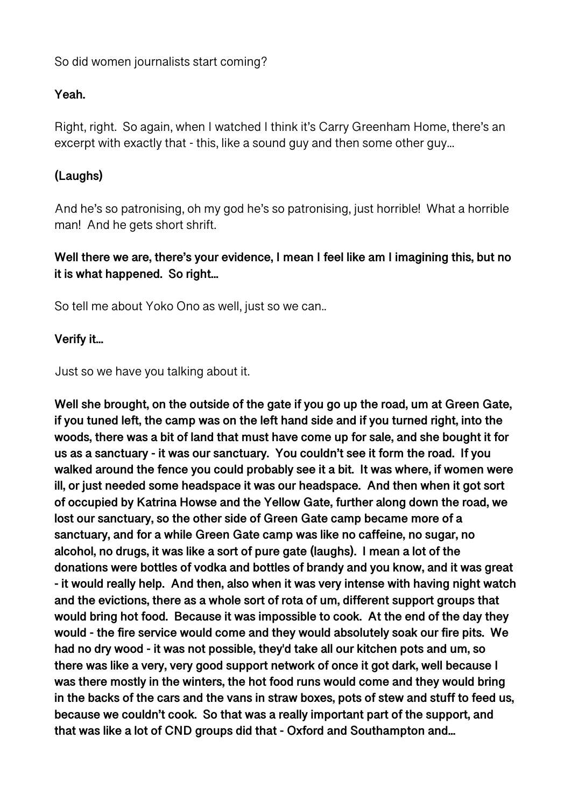So did women journalists start coming?

## **Yeah.**

Right, right. So again, when I watched I think it's Carry Greenham Home, there's an excerpt with exactly that - this, like a sound guy and then some other guy...

# **(Laughs)**

And he's so patronising, oh my god he's so patronising, just horrible! What a horrible man! And he gets short shrift.

**Well there we are, there's your evidence, I mean I feel like am I imagining this, but no it is what happened. So right...** 

So tell me about Yoko Ono as well, just so we can..

## **Verify it...**

Just so we have you talking about it.

**Well she brought, on the outside of the gate if you go up the road, um at Green Gate, if you tuned left, the camp was on the left hand side and if you turned right, into the woods, there was a bit of land that must have come up for sale, and she bought it for us as a sanctuary - it was our sanctuary. You couldn't see it form the road. If you walked around the fence you could probably see it a bit. It was where, if women were ill, or just needed some headspace it was our headspace. And then when it got sort of occupied by Katrina Howse and the Yellow Gate, further along down the road, we lost our sanctuary, so the other side of Green Gate camp became more of a sanctuary, and for a while Green Gate camp was like no caffeine, no sugar, no alcohol, no drugs, it was like a sort of pure gate (laughs). I mean a lot of the donations were bottles of vodka and bottles of brandy and you know, and it was great - it would really help. And then, also when it was very intense with having night watch and the evictions, there as a whole sort of rota of um, different support groups that would bring hot food. Because it was impossible to cook. At the end of the day they would - the fire service would come and they would absolutely soak our fire pits. We had no dry wood - it was not possible, they'd take all our kitchen pots and um, so there was like a very, very good support network of once it got dark, well because I was there mostly in the winters, the hot food runs would come and they would bring in the backs of the cars and the vans in straw boxes, pots of stew and stuff to feed us, because we couldn't cook. So that was a really important part of the support, and that was like a lot of CND groups did that - Oxford and Southampton and...**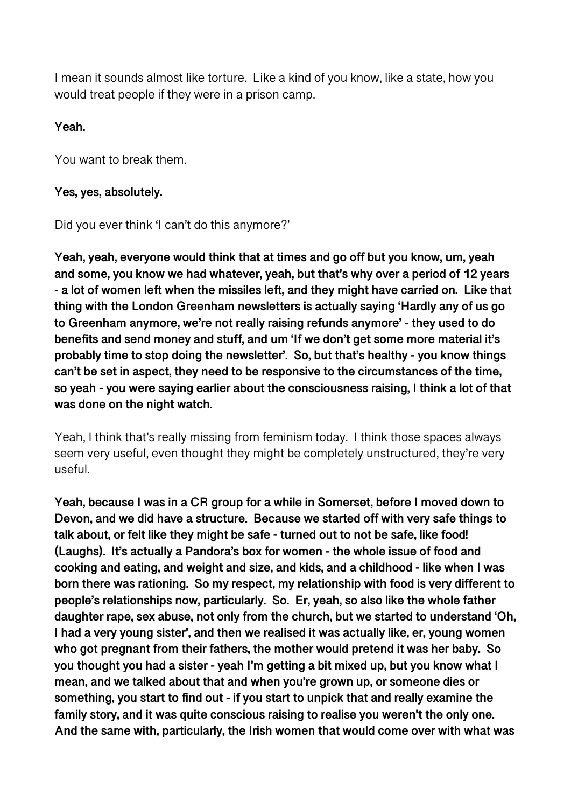I mean it sounds almost like torture. Like a kind of you know, like a state, how you would treat people if they were in a prison camp.

### **Yeah.**

You want to break them.

### **Yes, yes, absolutely.**

Did you ever think 'I can't do this anymore?'

**Yeah, yeah, everyone would think that at times and go off but you know, um, yeah and some, you know we had whatever, yeah, but that's why over a period of 12 years - a lot of women left when the missiles left, and they might have carried on. Like that thing with the London Greenham newsletters is actually saying 'Hardly any of us go to Greenham anymore, we're not really raising refunds anymore' - they used to do benefits and send money and stuff, and um 'If we don't get some more material it's probably time to stop doing the newsletter'. So, but that's healthy - you know things can't be set in aspect, they need to be responsive to the circumstances of the time, so yeah - you were saying earlier about the consciousness raising, I think a lot of that was done on the night watch.** 

Yeah, I think that's really missing from feminism today. I think those spaces always seem very useful, even thought they might be completely unstructured, they're very useful.

**Yeah, because I was in a CR group for a while in Somerset, before I moved down to Devon, and we did have a structure. Because we started off with very safe things to talk about, or felt like they might be safe - turned out to not be safe, like food! (Laughs). It's actually a Pandora's box for women - the whole issue of food and cooking and eating, and weight and size, and kids, and a childhood - like when I was born there was rationing. So my respect, my relationship with food is very different to people's relationships now, particularly. So. Er, yeah, so also like the whole father daughter rape, sex abuse, not only from the church, but we started to understand 'Oh, I had a very young sister', and then we realised it was actually like, er, young women who got pregnant from their fathers, the mother would pretend it was her baby. So you thought you had a sister - yeah I'm getting a bit mixed up, but you know what I mean, and we talked about that and when you're grown up, or someone dies or something, you start to find out - if you start to unpick that and really examine the family story, and it was quite conscious raising to realise you weren't the only one. And the same with, particularly, the Irish women that would come over with what was**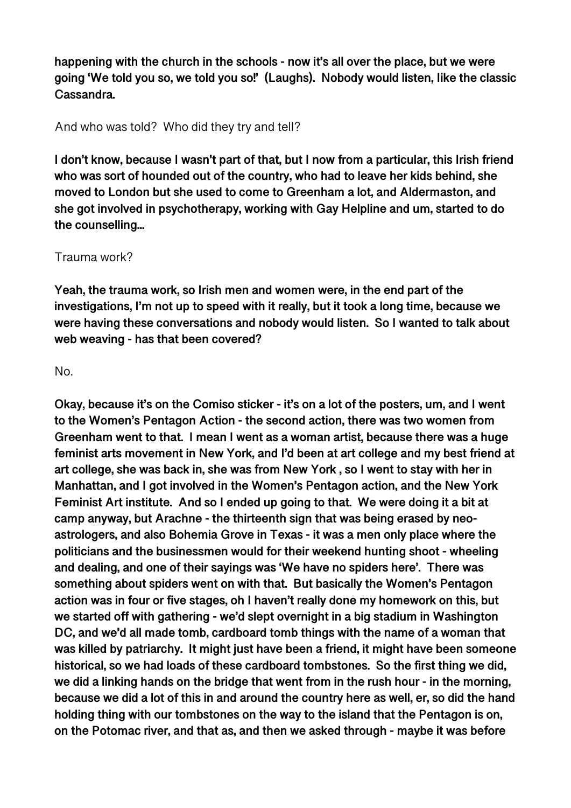**happening with the church in the schools - now it's all over the place, but we were going 'We told you so, we told you so!' (Laughs). Nobody would listen, Iike the classic Cassandra.** 

And who was told? Who did they try and tell?

**I don't know, because I wasn't part of that, but I now from a particular, this Irish friend who was sort of hounded out of the country, who had to leave her kids behind, she moved to London but she used to come to Greenham a lot, and Aldermaston, and she got involved in psychotherapy, working with Gay Helpline and um, started to do the counselling...** 

### Trauma work?

**Yeah, the trauma work, so Irish men and women were, in the end part of the investigations, I'm not up to speed with it really, but it took a long time, because we were having these conversations and nobody would listen. So I wanted to talk about web weaving - has that been covered?** 

### No.

**Okay, because it's on the Comiso sticker - it's on a lot of the posters, um, and I went to the Women's Pentagon Action - the second action, there was two women from Greenham went to that. I mean I went as a woman artist, because there was a huge feminist arts movement in New York, and I'd been at art college and my best friend at art college, she was back in, she was from New York , so I went to stay with her in Manhattan, and I got involved in the Women's Pentagon action, and the New York Feminist Art institute. And so I ended up going to that. We were doing it a bit at camp anyway, but Arachne - the thirteenth sign that was being erased by neoastrologers, and also Bohemia Grove in Texas - it was a men only place where the politicians and the businessmen would for their weekend hunting shoot - wheeling and dealing, and one of their sayings was 'We have no spiders here'. There was something about spiders went on with that. But basically the Women's Pentagon action was in four or five stages, oh I haven't really done my homework on this, but we started off with gathering - we'd slept overnight in a big stadium in Washington DC, and we'd all made tomb, cardboard tomb things with the name of a woman that was killed by patriarchy. It might just have been a friend, it might have been someone historical, so we had loads of these cardboard tombstones. So the first thing we did, we did a linking hands on the bridge that went from in the rush hour - in the morning, because we did a lot of this in and around the country here as well, er, so did the hand holding thing with our tombstones on the way to the island that the Pentagon is on, on the Potomac river, and that as, and then we asked through - maybe it was before**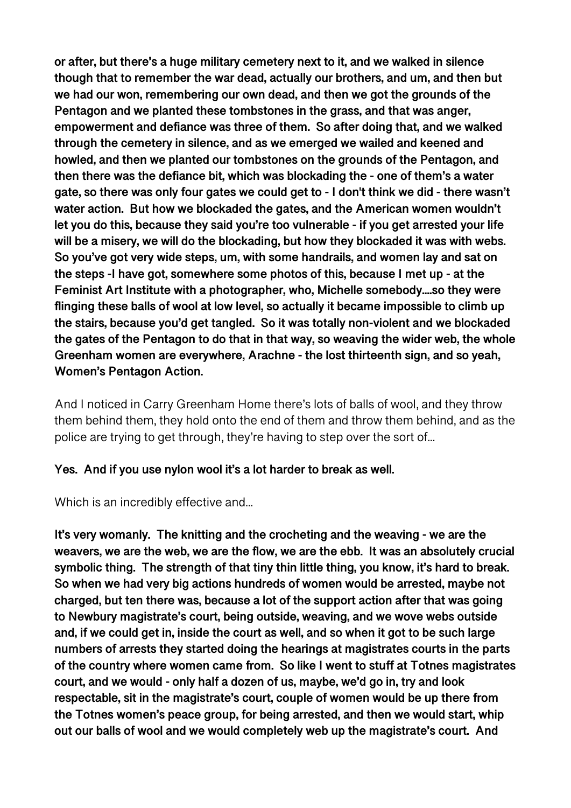**or after, but there's a huge military cemetery next to it, and we walked in silence though that to remember the war dead, actually our brothers, and um, and then but we had our won, remembering our own dead, and then we got the grounds of the Pentagon and we planted these tombstones in the grass, and that was anger, empowerment and defiance was three of them. So after doing that, and we walked through the cemetery in silence, and as we emerged we wailed and keened and howled, and then we planted our tombstones on the grounds of the Pentagon, and then there was the defiance bit, which was blockading the - one of them's a water gate, so there was only four gates we could get to - I don't think we did - there wasn't water action. But how we blockaded the gates, and the American women wouldn't let you do this, because they said you're too vulnerable - if you get arrested your life will be a misery, we will do the blockading, but how they blockaded it was with webs. So you've got very wide steps, um, with some handrails, and women lay and sat on the steps -I have got, somewhere some photos of this, because I met up - at the Feminist Art Institute with a photographer, who, Michelle somebody....so they were flinging these balls of wool at low level, so actually it became impossible to climb up the stairs, because you'd get tangled. So it was totally non-violent and we blockaded the gates of the Pentagon to do that in that way, so weaving the wider web, the whole Greenham women are everywhere, Arachne - the lost thirteenth sign, and so yeah, Women's Pentagon Action.** 

And I noticed in Carry Greenham Home there's lots of balls of wool, and they throw them behind them, they hold onto the end of them and throw them behind, and as the police are trying to get through, they're having to step over the sort of...

### **Yes. And if you use nylon wool it's a lot harder to break as well.**

Which is an incredibly effective and...

**It's very womanly. The knitting and the crocheting and the weaving - we are the weavers, we are the web, we are the flow, we are the ebb. It was an absolutely crucial symbolic thing. The strength of that tiny thin little thing, you know, it's hard to break. So when we had very big actions hundreds of women would be arrested, maybe not charged, but ten there was, because a lot of the support action after that was going to Newbury magistrate's court, being outside, weaving, and we wove webs outside and, if we could get in, inside the court as well, and so when it got to be such large numbers of arrests they started doing the hearings at magistrates courts in the parts of the country where women came from. So like I went to stuff at Totnes magistrates court, and we would - only half a dozen of us, maybe, we'd go in, try and look respectable, sit in the magistrate's court, couple of women would be up there from the Totnes women's peace group, for being arrested, and then we would start, whip out our balls of wool and we would completely web up the magistrate's court. And**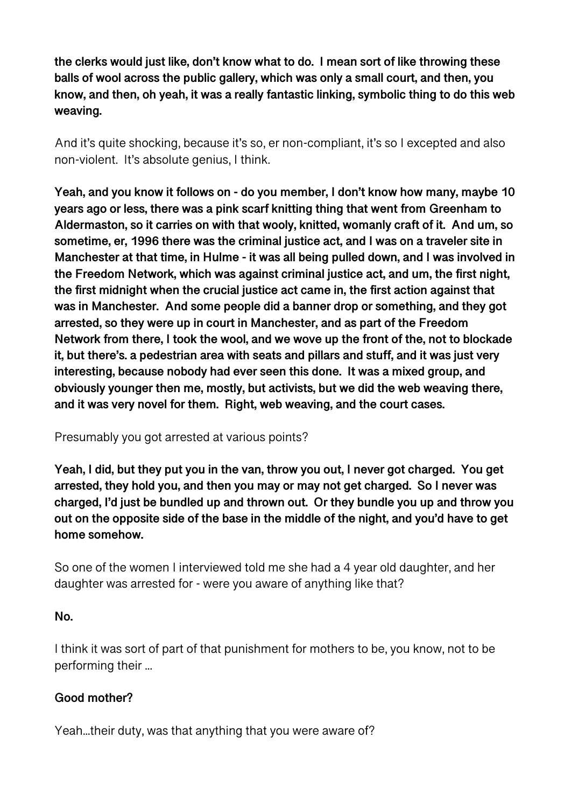**the clerks would just like, don't know what to do. I mean sort of like throwing these balls of wool across the public gallery, which was only a small court, and then, you know, and then, oh yeah, it was a really fantastic linking, symbolic thing to do this web weaving.** 

And it's quite shocking, because it's so, er non-compliant, it's so I excepted and also non-violent. It's absolute genius, I think.

**Yeah, and you know it follows on - do you member, I don't know how many, maybe 10 years ago or less, there was a pink scarf knitting thing that went from Greenham to Aldermaston, so it carries on with that wooly, knitted, womanly craft of it. And um, so sometime, er, 1996 there was the criminal justice act, and I was on a traveler site in Manchester at that time, in Hulme - it was all being pulled down, and I was involved in the Freedom Network, which was against criminal justice act, and um, the first night, the first midnight when the crucial justice act came in, the first action against that was in Manchester. And some people did a banner drop or something, and they got arrested, so they were up in court in Manchester, and as part of the Freedom Network from there, I took the wool, and we wove up the front of the, not to blockade it, but there's. a pedestrian area with seats and pillars and stuff, and it was just very interesting, because nobody had ever seen this done. It was a mixed group, and obviously younger then me, mostly, but activists, but we did the web weaving there, and it was very novel for them. Right, web weaving, and the court cases.** 

Presumably you got arrested at various points?

**Yeah, I did, but they put you in the van, throw you out, I never got charged. You get arrested, they hold you, and then you may or may not get charged. So I never was charged, I'd just be bundled up and thrown out. Or they bundle you up and throw you out on the opposite side of the base in the middle of the night, and you'd have to get home somehow.** 

So one of the women I interviewed told me she had a 4 year old daughter, and her daughter was arrested for - were you aware of anything like that?

## **No.**

I think it was sort of part of that punishment for mothers to be, you know, not to be performing their ...

## **Good mother?**

Yeah...their duty, was that anything that you were aware of?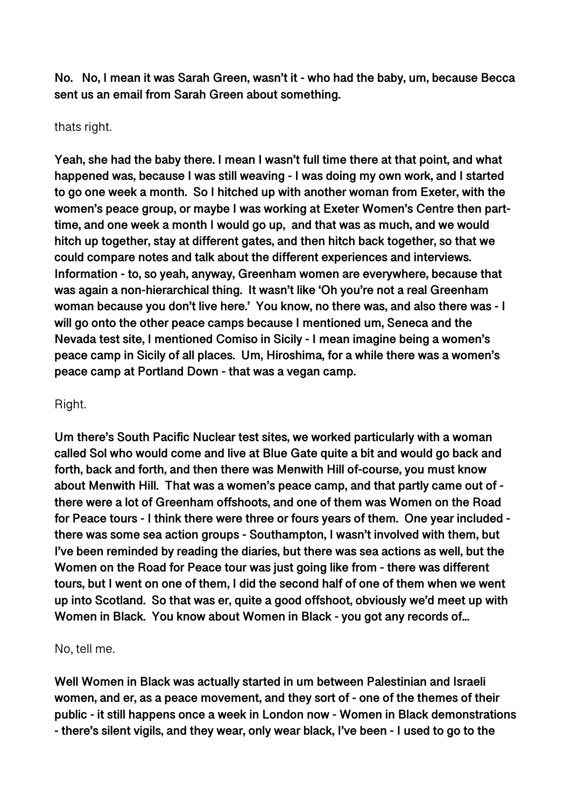**No. No, I mean it was Sarah Green, wasn't it - who had the baby, um, because Becca sent us an email from Sarah Green about something.** 

### thats right.

**Yeah, she had the baby there. I mean I wasn't full time there at that point, and what happened was, because I was still weaving - I was doing my own work, and I started to go one week a month. So I hitched up with another woman from Exeter, with the women's peace group, or maybe I was working at Exeter Women's Centre then parttime, and one week a month I would go up, and that was as much, and we would hitch up together, stay at different gates, and then hitch back together, so that we could compare notes and talk about the different experiences and interviews. Information - to, so yeah, anyway, Greenham women are everywhere, because that was again a non-hierarchical thing. It wasn't like 'Oh you're not a real Greenham woman because you don't live here.' You know, no there was, and also there was - I will go onto the other peace camps because I mentioned um, Seneca and the Nevada test site, I mentioned Comiso in Sicily - I mean imagine being a women's peace camp in Sicily of all places. Um, Hiroshima, for a while there was a women's peace camp at Portland Down - that was a vegan camp.** 

### Right.

**Um there's South Pacific Nuclear test sites, we worked particularly with a woman called Sol who would come and live at Blue Gate quite a bit and would go back and forth, back and forth, and then there was Menwith Hill of-course, you must know about Menwith Hill. That was a women's peace camp, and that partly came out of there were a lot of Greenham offshoots, and one of them was Women on the Road for Peace tours - I think there were three or fours years of them. One year included there was some sea action groups - Southampton, I wasn't involved with them, but I've been reminded by reading the diaries, but there was sea actions as well, but the Women on the Road for Peace tour was just going like from - there was different tours, but I went on one of them, I did the second half of one of them when we went up into Scotland. So that was er, quite a good offshoot, obviously we'd meet up with Women in Black. You know about Women in Black - you got any records of...** 

### No, tell me.

**Well Women in Black was actually started in um between Palestinian and Israeli women, and er, as a peace movement, and they sort of - one of the themes of their public - it still happens once a week in London now - Women in Black demonstrations - there's silent vigils, and they wear, only wear black, I've been - I used to go to the**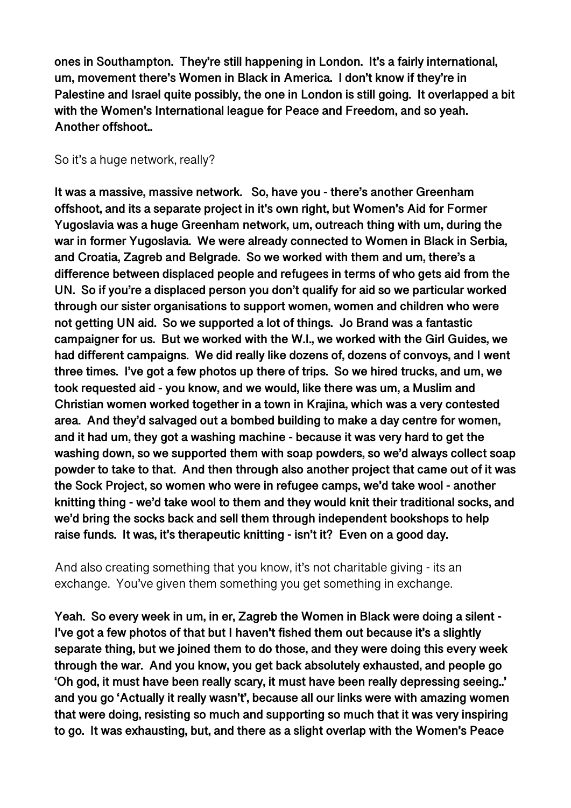**ones in Southampton. They're still happening in London. It's a fairly international, um, movement there's Women in Black in America. I don't know if they're in Palestine and Israel quite possibly, the one in London is still going. It overlapped a bit with the Women's International league for Peace and Freedom, and so yeah. Another offshoot..** 

So it's a huge network, really?

**It was a massive, massive network. So, have you - there's another Greenham offshoot, and its a separate project in it's own right, but Women's Aid for Former Yugoslavia was a huge Greenham network, um, outreach thing with um, during the war in former Yugoslavia. We were already connected to Women in Black in Serbia, and Croatia, Zagreb and Belgrade. So we worked with them and um, there's a difference between displaced people and refugees in terms of who gets aid from the UN. So if you're a displaced person you don't qualify for aid so we particular worked through our sister organisations to support women, women and children who were not getting UN aid. So we supported a lot of things. Jo Brand was a fantastic campaigner for us. But we worked with the W.I., we worked with the Girl Guides, we had different campaigns. We did really like dozens of, dozens of convoys, and I went three times. I've got a few photos up there of trips. So we hired trucks, and um, we took requested aid - you know, and we would, like there was um, a Muslim and Christian women worked together in a town in Krajina, which was a very contested area. And they'd salvaged out a bombed building to make a day centre for women, and it had um, they got a washing machine - because it was very hard to get the washing down, so we supported them with soap powders, so we'd always collect soap powder to take to that. And then through also another project that came out of it was the Sock Project, so women who were in refugee camps, we'd take wool - another knitting thing - we'd take wool to them and they would knit their traditional socks, and we'd bring the socks back and sell them through independent bookshops to help raise funds. It was, it's therapeutic knitting - isn't it? Even on a good day.** 

And also creating something that you know, it's not charitable giving - its an exchange. You've given them something you get something in exchange.

**Yeah. So every week in um, in er, Zagreb the Women in Black were doing a silent - I've got a few photos of that but I haven't fished them out because it's a slightly separate thing, but we joined them to do those, and they were doing this every week through the war. And you know, you get back absolutely exhausted, and people go 'Oh god, it must have been really scary, it must have been really depressing seeing..' and you go 'Actually it really wasn't', because all our links were with amazing women that were doing, resisting so much and supporting so much that it was very inspiring to go. It was exhausting, but, and there as a slight overlap with the Women's Peace**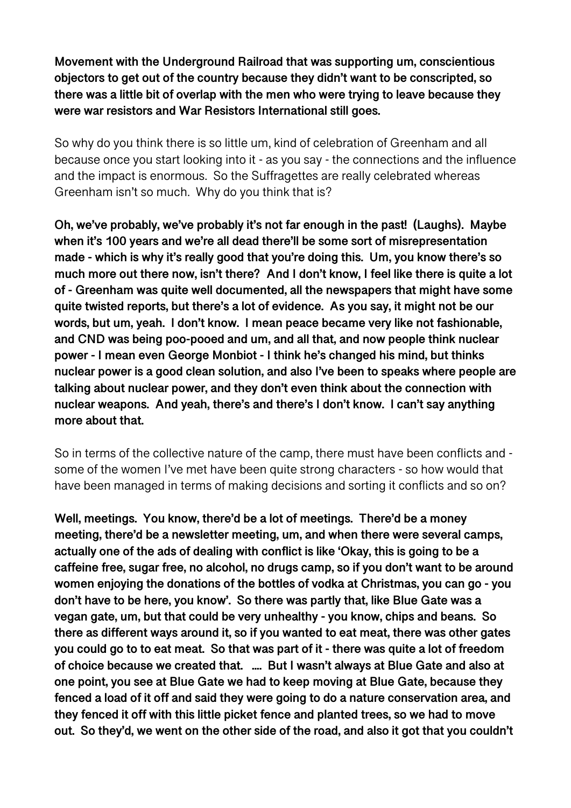**Movement with the Underground Railroad that was supporting um, conscientious objectors to get out of the country because they didn't want to be conscripted, so there was a little bit of overlap with the men who were trying to leave because they were war resistors and War Resistors International still goes.** 

So why do you think there is so little um, kind of celebration of Greenham and all because once you start looking into it - as you say - the connections and the influence and the impact is enormous. So the Suffragettes are really celebrated whereas Greenham isn't so much. Why do you think that is?

**Oh, we've probably, we've probably it's not far enough in the past! (Laughs). Maybe when it's 100 years and we're all dead there'll be some sort of misrepresentation made - which is why it's really good that you're doing this. Um, you know there's so much more out there now, isn't there? And I don't know, I feel like there is quite a lot of - Greenham was quite well documented, all the newspapers that might have some quite twisted reports, but there's a lot of evidence. As you say, it might not be our words, but um, yeah. I don't know. I mean peace became very like not fashionable, and CND was being poo-pooed and um, and all that, and now people think nuclear power - I mean even George Monbiot - I think he's changed his mind, but thinks nuclear power is a good clean solution, and also I've been to speaks where people are talking about nuclear power, and they don't even think about the connection with nuclear weapons. And yeah, there's and there's I don't know. I can't say anything more about that.** 

So in terms of the collective nature of the camp, there must have been conflicts and some of the women I've met have been quite strong characters - so how would that have been managed in terms of making decisions and sorting it conflicts and so on?

**Well, meetings. You know, there'd be a lot of meetings. There'd be a money meeting, there'd be a newsletter meeting, um, and when there were several camps, actually one of the ads of dealing with conflict is like 'Okay, this is going to be a caffeine free, sugar free, no alcohol, no drugs camp, so if you don't want to be around women enjoying the donations of the bottles of vodka at Christmas, you can go - you don't have to be here, you know'. So there was partly that, like Blue Gate was a vegan gate, um, but that could be very unhealthy - you know, chips and beans. So there as different ways around it, so if you wanted to eat meat, there was other gates you could go to to eat meat. So that was part of it - there was quite a lot of freedom of choice because we created that. .... But I wasn't always at Blue Gate and also at one point, you see at Blue Gate we had to keep moving at Blue Gate, because they fenced a load of it off and said they were going to do a nature conservation area, and they fenced it off with this little picket fence and planted trees, so we had to move out. So they'd, we went on the other side of the road, and also it got that you couldn't**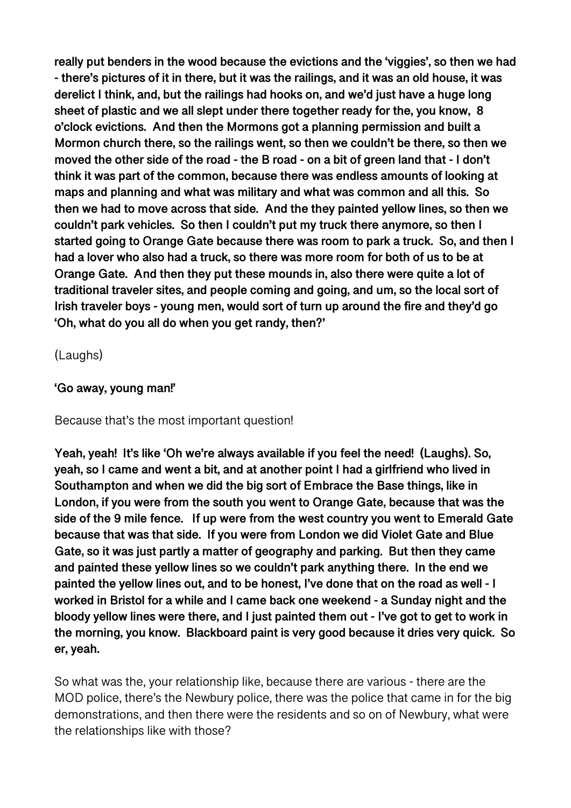**really put benders in the wood because the evictions and the 'viggies', so then we had - there's pictures of it in there, but it was the railings, and it was an old house, it was derelict I think, and, but the railings had hooks on, and we'd just have a huge long sheet of plastic and we all slept under there together ready for the, you know, 8 o'clock evictions. And then the Mormons got a planning permission and built a Mormon church there, so the railings went, so then we couldn't be there, so then we moved the other side of the road - the B road - on a bit of green land that - I don't think it was part of the common, because there was endless amounts of looking at maps and planning and what was military and what was common and all this. So then we had to move across that side. And the they painted yellow lines, so then we couldn't park vehicles. So then I couldn't put my truck there anymore, so then I started going to Orange Gate because there was room to park a truck. So, and then I had a lover who also had a truck, so there was more room for both of us to be at Orange Gate. And then they put these mounds in, also there were quite a lot of traditional traveler sites, and people coming and going, and um, so the local sort of Irish traveler boys - young men, would sort of turn up around the fire and they'd go 'Oh, what do you all do when you get randy, then?'** 

(Laughs)

### **'Go away, young man!'**

### Because that's the most important question!

**Yeah, yeah! It's like 'Oh we're always available if you feel the need! (Laughs). So, yeah, so I came and went a bit, and at another point I had a girlfriend who lived in Southampton and when we did the big sort of Embrace the Base things, like in London, if you were from the south you went to Orange Gate, because that was the side of the 9 mile fence. If up were from the west country you went to Emerald Gate because that was that side. If you were from London we did Violet Gate and Blue Gate, so it was just partly a matter of geography and parking. But then they came and painted these yellow lines so we couldn't park anything there. In the end we painted the yellow lines out, and to be honest, I've done that on the road as well - I worked in Bristol for a while and I came back one weekend - a Sunday night and the bloody yellow lines were there, and I just painted them out - I've got to get to work in the morning, you know. Blackboard paint is very good because it dries very quick. So er, yeah.** 

So what was the, your relationship like, because there are various - there are the MOD police, there's the Newbury police, there was the police that came in for the big demonstrations, and then there were the residents and so on of Newbury, what were the relationships like with those?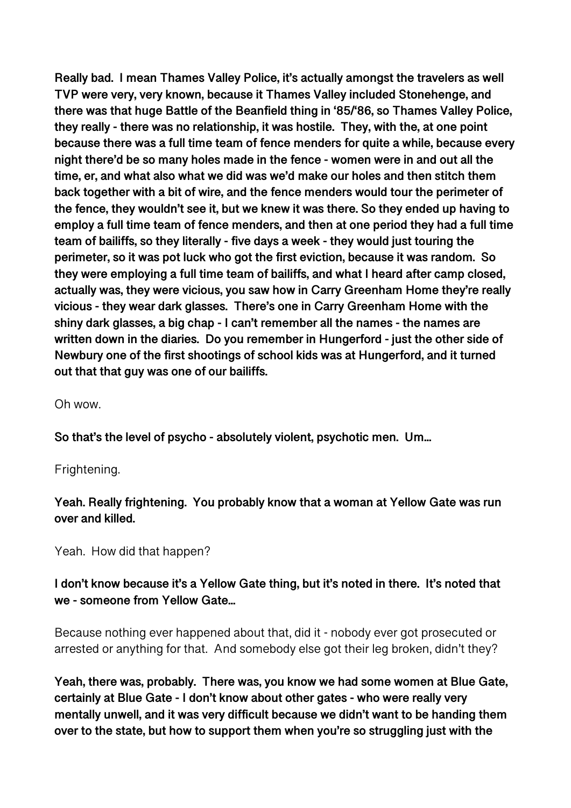**Really bad. I mean Thames Valley Police, it's actually amongst the travelers as well TVP were very, very known, because it Thames Valley included Stonehenge, and there was that huge Battle of the Beanfield thing in '85/'86, so Thames Valley Police, they really - there was no relationship, it was hostile. They, with the, at one point because there was a full time team of fence menders for quite a while, because every night there'd be so many holes made in the fence - women were in and out all the time, er, and what also what we did was we'd make our holes and then stitch them back together with a bit of wire, and the fence menders would tour the perimeter of the fence, they wouldn't see it, but we knew it was there. So they ended up having to employ a full time team of fence menders, and then at one period they had a full time team of bailiffs, so they literally - five days a week - they would just touring the perimeter, so it was pot luck who got the first eviction, because it was random. So they were employing a full time team of bailiffs, and what I heard after camp closed, actually was, they were vicious, you saw how in Carry Greenham Home they're really vicious - they wear dark glasses. There's one in Carry Greenham Home with the shiny dark glasses, a big chap - I can't remember all the names - the names are written down in the diaries. Do you remember in Hungerford - just the other side of Newbury one of the first shootings of school kids was at Hungerford, and it turned out that that guy was one of our bailiffs.** 

Oh wow.

**So that's the level of psycho - absolutely violent, psychotic men. Um...** 

Frightening.

## **Yeah. Really frightening. You probably know that a woman at Yellow Gate was run over and killed.**

Yeah. How did that happen?

## **I don't know because it's a Yellow Gate thing, but it's noted in there. It's noted that we - someone from Yellow Gate...**

Because nothing ever happened about that, did it - nobody ever got prosecuted or arrested or anything for that. And somebody else got their leg broken, didn't they?

**Yeah, there was, probably. There was, you know we had some women at Blue Gate, certainly at Blue Gate - I don't know about other gates - who were really very mentally unwell, and it was very difficult because we didn't want to be handing them over to the state, but how to support them when you're so struggling just with the**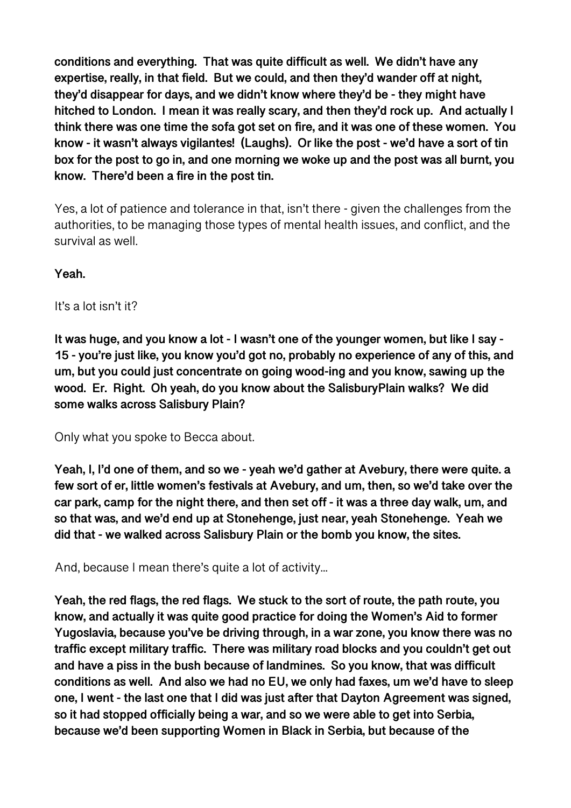**conditions and everything. That was quite difficult as well. We didn't have any expertise, really, in that field. But we could, and then they'd wander off at night, they'd disappear for days, and we didn't know where they'd be - they might have hitched to London. I mean it was really scary, and then they'd rock up. And actually I think there was one time the sofa got set on fire, and it was one of these women. You know - it wasn't always vigilantes! (Laughs). Or like the post - we'd have a sort of tin box for the post to go in, and one morning we woke up and the post was all burnt, you know. There'd been a fire in the post tin.** 

Yes, a lot of patience and tolerance in that, isn't there - given the challenges from the authorities, to be managing those types of mental health issues, and conflict, and the survival as well.

**Yeah.** 

It's a lot isn't it?

**It was huge, and you know a lot - I wasn't one of the younger women, but like I say - 15 - you're just like, you know you'd got no, probably no experience of any of this, and um, but you could just concentrate on going wood-ing and you know, sawing up the wood. Er. Right. Oh yeah, do you know about the SalisburyPlain walks? We did some walks across Salisbury Plain?** 

Only what you spoke to Becca about.

**Yeah, I, I'd one of them, and so we - yeah we'd gather at Avebury, there were quite. a few sort of er, little women's festivals at Avebury, and um, then, so we'd take over the car park, camp for the night there, and then set off - it was a three day walk, um, and so that was, and we'd end up at Stonehenge, just near, yeah Stonehenge. Yeah we did that - we walked across Salisbury Plain or the bomb you know, the sites.** 

And, because I mean there's quite a lot of activity...

**Yeah, the red flags, the red flags. We stuck to the sort of route, the path route, you know, and actually it was quite good practice for doing the Women's Aid to former Yugoslavia, because you've be driving through, in a war zone, you know there was no traffic except military traffic. There was military road blocks and you couldn't get out and have a piss in the bush because of landmines. So you know, that was difficult conditions as well. And also we had no EU, we only had faxes, um we'd have to sleep one, I went - the last one that I did was just after that Dayton Agreement was signed, so it had stopped officially being a war, and so we were able to get into Serbia, because we'd been supporting Women in Black in Serbia, but because of the**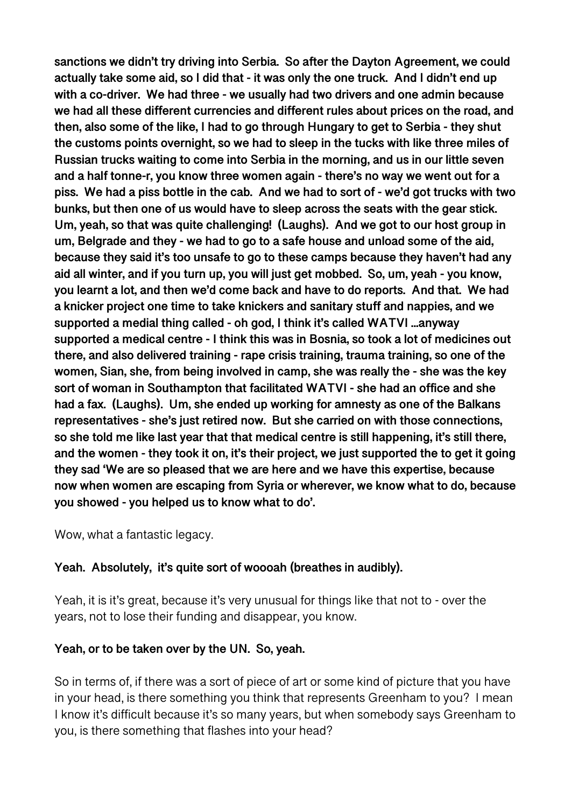**sanctions we didn't try driving into Serbia. So after the Dayton Agreement, we could actually take some aid, so I did that - it was only the one truck. And I didn't end up with a co-driver. We had three - we usually had two drivers and one admin because we had all these different currencies and different rules about prices on the road, and then, also some of the like, I had to go through Hungary to get to Serbia - they shut the customs points overnight, so we had to sleep in the tucks with like three miles of Russian trucks waiting to come into Serbia in the morning, and us in our little seven and a half tonne-r, you know three women again - there's no way we went out for a piss. We had a piss bottle in the cab. And we had to sort of - we'd got trucks with two bunks, but then one of us would have to sleep across the seats with the gear stick. Um, yeah, so that was quite challenging! (Laughs). And we got to our host group in um, Belgrade and they - we had to go to a safe house and unload some of the aid, because they said it's too unsafe to go to these camps because they haven't had any aid all winter, and if you turn up, you will just get mobbed. So, um, yeah - you know, you learnt a lot, and then we'd come back and have to do reports. And that. We had a knicker project one time to take knickers and sanitary stuff and nappies, and we supported a medial thing called - oh god, I think it's called WATVI ...anyway supported a medical centre - I think this was in Bosnia, so took a lot of medicines out there, and also delivered training - rape crisis training, trauma training, so one of the women, Sian, she, from being involved in camp, she was really the - she was the key sort of woman in Southampton that facilitated WATVI - she had an office and she had a fax. (Laughs). Um, she ended up working for amnesty as one of the Balkans representatives - she's just retired now. But she carried on with those connections, so she told me like last year that that medical centre is still happening, it's still there, and the women - they took it on, it's their project, we just supported the to get it going they sad 'We are so pleased that we are here and we have this expertise, because now when women are escaping from Syria or wherever, we know what to do, because you showed - you helped us to know what to do'.** 

Wow, what a fantastic legacy.

## **Yeah. Absolutely, it's quite sort of woooah (breathes in audibly).**

Yeah, it is it's great, because it's very unusual for things like that not to - over the years, not to lose their funding and disappear, you know.

### **Yeah, or to be taken over by the UN. So, yeah.**

So in terms of, if there was a sort of piece of art or some kind of picture that you have in your head, is there something you think that represents Greenham to you? I mean I know it's difficult because it's so many years, but when somebody says Greenham to you, is there something that flashes into your head?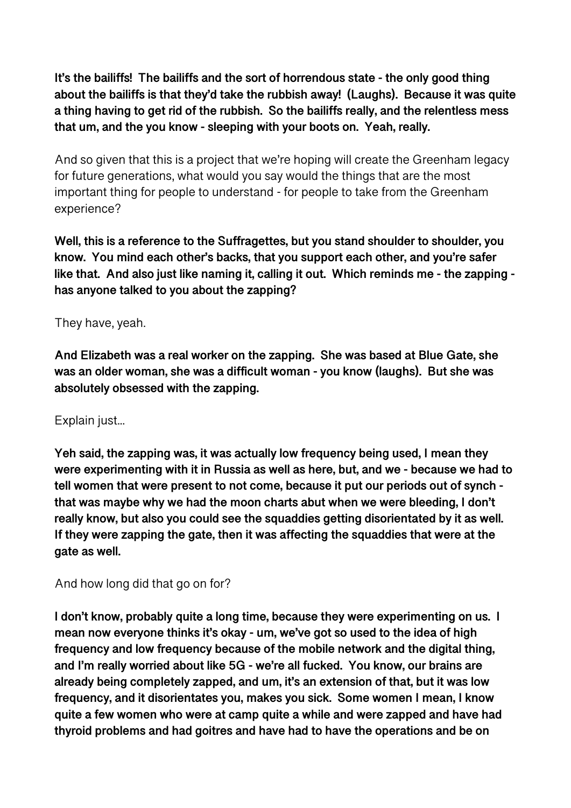**It's the bailiffs! The bailiffs and the sort of horrendous state - the only good thing about the bailiffs is that they'd take the rubbish away! (Laughs). Because it was quite a thing having to get rid of the rubbish. So the bailiffs really, and the relentless mess that um, and the you know - sleeping with your boots on. Yeah, really.** 

And so given that this is a project that we're hoping will create the Greenham legacy for future generations, what would you say would the things that are the most important thing for people to understand - for people to take from the Greenham experience?

**Well, this is a reference to the Suffragettes, but you stand shoulder to shoulder, you know. You mind each other's backs, that you support each other, and you're safer like that. And also just like naming it, calling it out. Which reminds me - the zapping has anyone talked to you about the zapping?** 

### They have, yeah.

**And Elizabeth was a real worker on the zapping. She was based at Blue Gate, she was an older woman, she was a difficult woman - you know (laughs). But she was absolutely obsessed with the zapping.** 

### Explain just...

**Yeh said, the zapping was, it was actually low frequency being used, I mean they were experimenting with it in Russia as well as here, but, and we - because we had to tell women that were present to not come, because it put our periods out of synch that was maybe why we had the moon charts abut when we were bleeding, I don't really know, but also you could see the squaddies getting disorientated by it as well. If they were zapping the gate, then it was affecting the squaddies that were at the gate as well.** 

### And how long did that go on for?

**I don't know, probably quite a long time, because they were experimenting on us. I mean now everyone thinks it's okay - um, we've got so used to the idea of high frequency and low frequency because of the mobile network and the digital thing, and I'm really worried about like 5G - we're all fucked. You know, our brains are already being completely zapped, and um, it's an extension of that, but it was low frequency, and it disorientates you, makes you sick. Some women I mean, I know quite a few women who were at camp quite a while and were zapped and have had thyroid problems and had goitres and have had to have the operations and be on**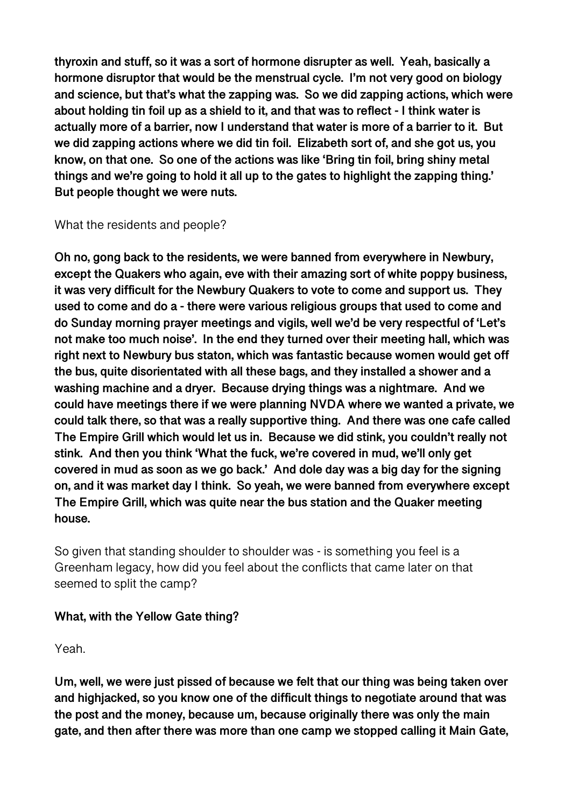**thyroxin and stuff, so it was a sort of hormone disrupter as well. Yeah, basically a hormone disruptor that would be the menstrual cycle. I'm not very good on biology and science, but that's what the zapping was. So we did zapping actions, which were about holding tin foil up as a shield to it, and that was to reflect - I think water is actually more of a barrier, now I understand that water is more of a barrier to it. But we did zapping actions where we did tin foil. Elizabeth sort of, and she got us, you know, on that one. So one of the actions was like 'Bring tin foil, bring shiny metal things and we're going to hold it all up to the gates to highlight the zapping thing.' But people thought we were nuts.** 

What the residents and people?

**Oh no, gong back to the residents, we were banned from everywhere in Newbury, except the Quakers who again, eve with their amazing sort of white poppy business, it was very difficult for the Newbury Quakers to vote to come and support us. They used to come and do a - there were various religious groups that used to come and do Sunday morning prayer meetings and vigils, well we'd be very respectful of 'Let's not make too much noise'. In the end they turned over their meeting hall, which was right next to Newbury bus staton, which was fantastic because women would get off the bus, quite disorientated with all these bags, and they installed a shower and a washing machine and a dryer. Because drying things was a nightmare. And we could have meetings there if we were planning NVDA where we wanted a private, we could talk there, so that was a really supportive thing. And there was one cafe called The Empire Grill which would let us in. Because we did stink, you couldn't really not stink. And then you think 'What the fuck, we're covered in mud, we'll only get covered in mud as soon as we go back.' And dole day was a big day for the signing on, and it was market day I think. So yeah, we were banned from everywhere except The Empire Grill, which was quite near the bus station and the Quaker meeting house.** 

So given that standing shoulder to shoulder was - is something you feel is a Greenham legacy, how did you feel about the conflicts that came later on that seemed to split the camp?

### **What, with the Yellow Gate thing?**

Yeah.

**Um, well, we were just pissed of because we felt that our thing was being taken over and highjacked, so you know one of the difficult things to negotiate around that was the post and the money, because um, because originally there was only the main gate, and then after there was more than one camp we stopped calling it Main Gate,**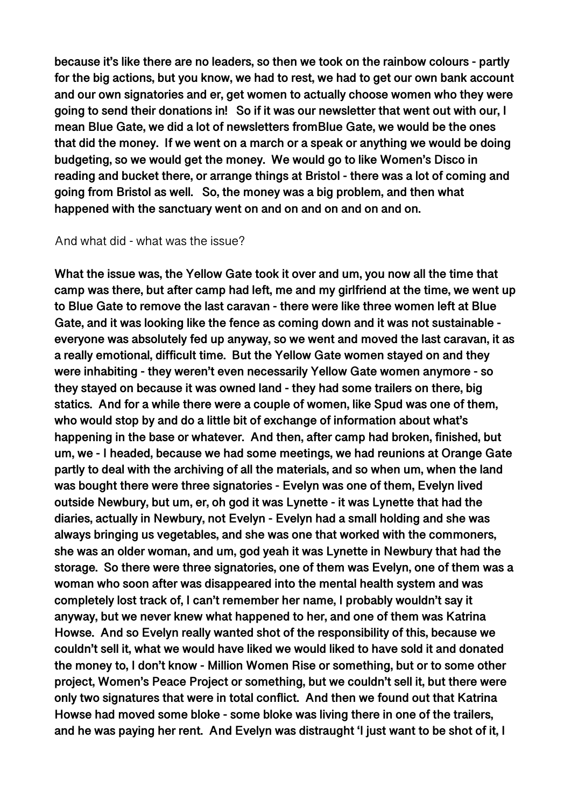**because it's like there are no leaders, so then we took on the rainbow colours - partly for the big actions, but you know, we had to rest, we had to get our own bank account and our own signatories and er, get women to actually choose women who they were going to send their donations in! So if it was our newsletter that went out with our, I mean Blue Gate, we did a lot of newsletters fromBlue Gate, we would be the ones that did the money. If we went on a march or a speak or anything we would be doing budgeting, so we would get the money. We would go to like Women's Disco in reading and bucket there, or arrange things at Bristol - there was a lot of coming and going from Bristol as well. So, the money was a big problem, and then what happened with the sanctuary went on and on and on and on and on.** 

#### And what did - what was the issue?

**What the issue was, the Yellow Gate took it over and um, you now all the time that camp was there, but after camp had left, me and my girlfriend at the time, we went up to Blue Gate to remove the last caravan - there were like three women left at Blue Gate, and it was looking like the fence as coming down and it was not sustainable everyone was absolutely fed up anyway, so we went and moved the last caravan, it as a really emotional, difficult time. But the Yellow Gate women stayed on and they were inhabiting - they weren't even necessarily Yellow Gate women anymore - so they stayed on because it was owned land - they had some trailers on there, big statics. And for a while there were a couple of women, like Spud was one of them, who would stop by and do a little bit of exchange of information about what's happening in the base or whatever. And then, after camp had broken, finished, but um, we - I headed, because we had some meetings, we had reunions at Orange Gate partly to deal with the archiving of all the materials, and so when um, when the land was bought there were three signatories - Evelyn was one of them, Evelyn lived outside Newbury, but um, er, oh god it was Lynette - it was Lynette that had the diaries, actually in Newbury, not Evelyn - Evelyn had a small holding and she was always bringing us vegetables, and she was one that worked with the commoners, she was an older woman, and um, god yeah it was Lynette in Newbury that had the storage. So there were three signatories, one of them was Evelyn, one of them was a woman who soon after was disappeared into the mental health system and was completely lost track of, I can't remember her name, I probably wouldn't say it anyway, but we never knew what happened to her, and one of them was Katrina Howse. And so Evelyn really wanted shot of the responsibility of this, because we couldn't sell it, what we would have liked we would liked to have sold it and donated the money to, I don't know - Million Women Rise or something, but or to some other project, Women's Peace Project or something, but we couldn't sell it, but there were only two signatures that were in total conflict. And then we found out that Katrina Howse had moved some bloke - some bloke was living there in one of the trailers, and he was paying her rent. And Evelyn was distraught 'I just want to be shot of it, I**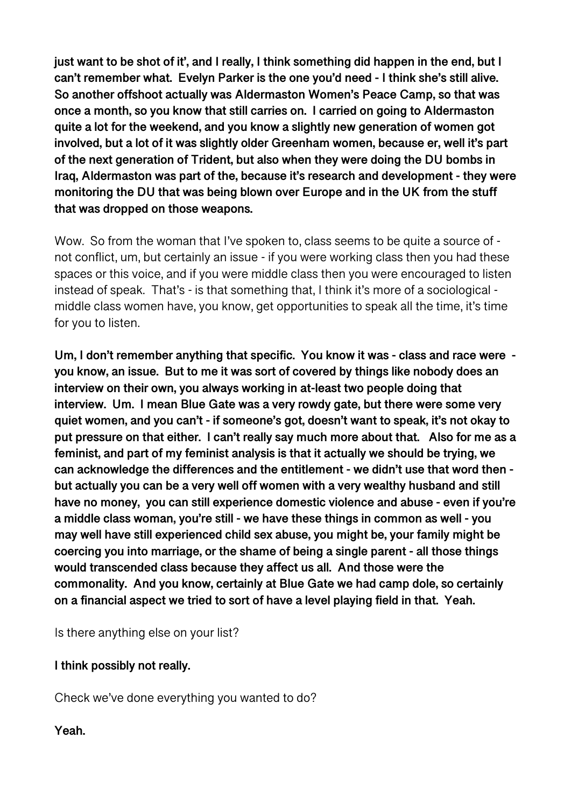**just want to be shot of it', and I really, I think something did happen in the end, but I can't remember what. Evelyn Parker is the one you'd need - I think she's still alive. So another offshoot actually was Aldermaston Women's Peace Camp, so that was once a month, so you know that still carries on. I carried on going to Aldermaston quite a lot for the weekend, and you know a slightly new generation of women got involved, but a lot of it was slightly older Greenham women, because er, well it's part of the next generation of Trident, but also when they were doing the DU bombs in Iraq, Aldermaston was part of the, because it's research and development - they were monitoring the DU that was being blown over Europe and in the UK from the stuff that was dropped on those weapons.** 

Wow. So from the woman that I've spoken to, class seems to be quite a source of not conflict, um, but certainly an issue - if you were working class then you had these spaces or this voice, and if you were middle class then you were encouraged to listen instead of speak. That's - is that something that, I think it's more of a sociological middle class women have, you know, get opportunities to speak all the time, it's time for you to listen.

**Um, I don't remember anything that specific. You know it was - class and race were you know, an issue. But to me it was sort of covered by things like nobody does an interview on their own, you always working in at-least two people doing that interview. Um. I mean Blue Gate was a very rowdy gate, but there were some very quiet women, and you can't - if someone's got, doesn't want to speak, it's not okay to put pressure on that either. I can't really say much more about that. Also for me as a feminist, and part of my feminist analysis is that it actually we should be trying, we can acknowledge the differences and the entitlement - we didn't use that word then but actually you can be a very well off women with a very wealthy husband and still have no money, you can still experience domestic violence and abuse - even if you're a middle class woman, you're still - we have these things in common as well - you may well have still experienced child sex abuse, you might be, your family might be coercing you into marriage, or the shame of being a single parent - all those things would transcended class because they affect us all. And those were the commonality. And you know, certainly at Blue Gate we had camp dole, so certainly on a financial aspect we tried to sort of have a level playing field in that. Yeah.** 

Is there anything else on your list?

### **I think possibly not really.**

Check we've done everything you wanted to do?

**Yeah.**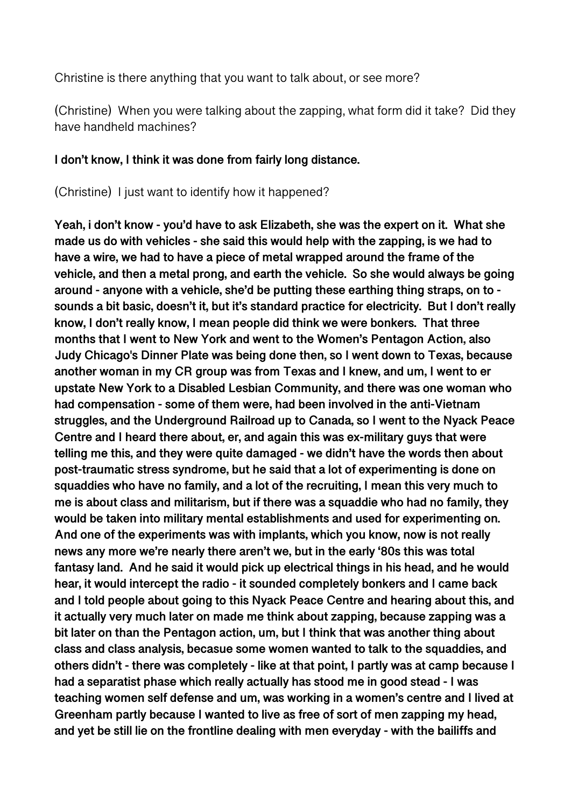Christine is there anything that you want to talk about, or see more?

(Christine) When you were talking about the zapping, what form did it take? Did they have handheld machines?

### **I don't know, I think it was done from fairly long distance.**

(Christine) I just want to identify how it happened?

**Yeah, i don't know - you'd have to ask Elizabeth, she was the expert on it. What she made us do with vehicles - she said this would help with the zapping, is we had to have a wire, we had to have a piece of metal wrapped around the frame of the vehicle, and then a metal prong, and earth the vehicle. So she would always be going around - anyone with a vehicle, she'd be putting these earthing thing straps, on to sounds a bit basic, doesn't it, but it's standard practice for electricity. But I don't really know, I don't really know, I mean people did think we were bonkers. That three months that I went to New York and went to the Women's Pentagon Action, also Judy Chicago's Dinner Plate was being done then, so I went down to Texas, because another woman in my CR group was from Texas and I knew, and um, I went to er upstate New York to a Disabled Lesbian Community, and there was one woman who had compensation - some of them were, had been involved in the anti-Vietnam struggles, and the Underground Railroad up to Canada, so I went to the Nyack Peace Centre and I heard there about, er, and again this was ex-military guys that were telling me this, and they were quite damaged - we didn't have the words then about post-traumatic stress syndrome, but he said that a lot of experimenting is done on squaddies who have no family, and a lot of the recruiting, I mean this very much to me is about class and militarism, but if there was a squaddie who had no family, they would be taken into military mental establishments and used for experimenting on. And one of the experiments was with implants, which you know, now is not really news any more we're nearly there aren't we, but in the early '80s this was total fantasy land. And he said it would pick up electrical things in his head, and he would hear, it would intercept the radio - it sounded completely bonkers and I came back and I told people about going to this Nyack Peace Centre and hearing about this, and it actually very much later on made me think about zapping, because zapping was a bit later on than the Pentagon action, um, but I think that was another thing about class and class analysis, becasue some women wanted to talk to the squaddies, and others didn't - there was completely - like at that point, I partly was at camp because I had a separatist phase which really actually has stood me in good stead - I was teaching women self defense and um, was working in a women's centre and I lived at Greenham partly because I wanted to live as free of sort of men zapping my head, and yet be still lie on the frontline dealing with men everyday - with the bailiffs and**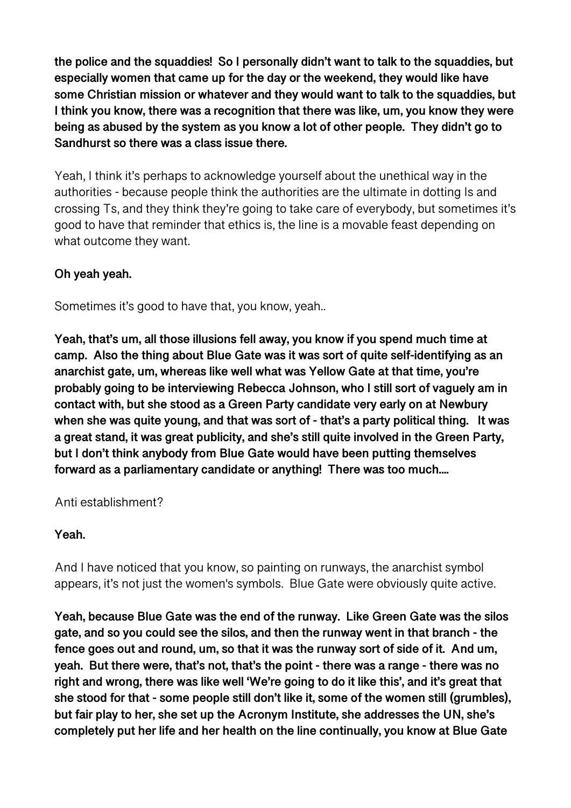**the police and the squaddies! So I personally didn't want to talk to the squaddies, but especially women that came up for the day or the weekend, they would like have some Christian mission or whatever and they would want to talk to the squaddies, but I think you know, there was a recognition that there was like, um, you know they were being as abused by the system as you know a lot of other people. They didn't go to Sandhurst so there was a class issue there.** 

Yeah, I think it's perhaps to acknowledge yourself about the unethical way in the authorities - because people think the authorities are the ultimate in dotting Is and crossing Ts, and they think they're going to take care of everybody, but sometimes it's good to have that reminder that ethics is, the line is a movable feast depending on what outcome they want.

# **Oh yeah yeah.**

Sometimes it's good to have that, you know, yeah..

**Yeah, that's um, all those illusions fell away, you know if you spend much time at camp. Also the thing about Blue Gate was it was sort of quite self-identifying as an anarchist gate, um, whereas like well what was Yellow Gate at that time, you're probably going to be interviewing Rebecca Johnson, who I still sort of vaguely am in contact with, but she stood as a Green Party candidate very early on at Newbury when she was quite young, and that was sort of - that's a party political thing. It was a great stand, it was great publicity, and she's still quite involved in the Green Party, but I don't think anybody from Blue Gate would have been putting themselves forward as a parliamentary candidate or anything! There was too much....** 

Anti establishment?

## **Yeah.**

And I have noticed that you know, so painting on runways, the anarchist symbol appears, it's not just the women's symbols. Blue Gate were obviously quite active.

**Yeah, because Blue Gate was the end of the runway. Like Green Gate was the silos gate, and so you could see the silos, and then the runway went in that branch - the fence goes out and round, um, so that it was the runway sort of side of it. And um, yeah. But there were, that's not, that's the point - there was a range - there was no right and wrong, there was like well 'We're going to do it like this', and it's great that she stood for that - some people still don't like it, some of the women still (grumbles), but fair play to her, she set up the Acronym Institute, she addresses the UN, she's completely put her life and her health on the line continually, you know at Blue Gate**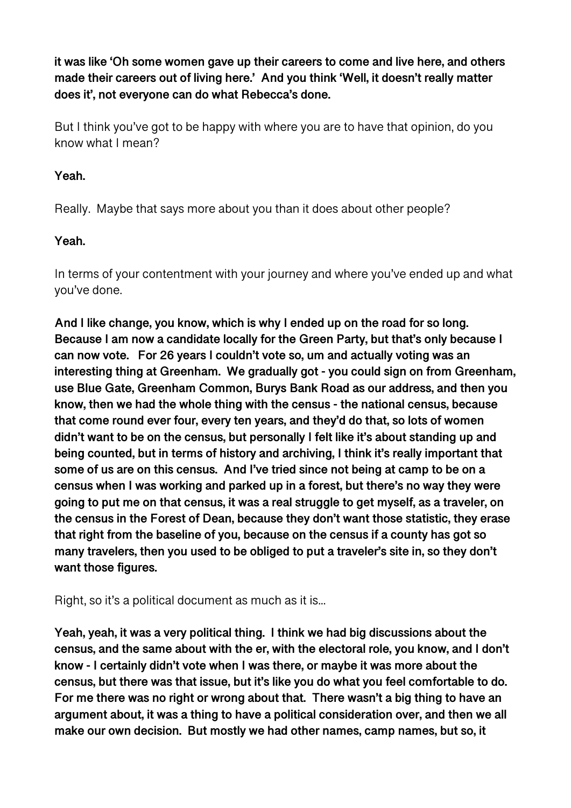**it was like 'Oh some women gave up their careers to come and live here, and others made their careers out of living here.' And you think 'Well, it doesn't really matter does it', not everyone can do what Rebecca's done.** 

But I think you've got to be happy with where you are to have that opinion, do you know what I mean?

## **Yeah.**

Really. Maybe that says more about you than it does about other people?

## **Yeah.**

In terms of your contentment with your journey and where you've ended up and what you've done.

**And I like change, you know, which is why I ended up on the road for so long. Because I am now a candidate locally for the Green Party, but that's only because I can now vote. For 26 years I couldn't vote so, um and actually voting was an interesting thing at Greenham. We gradually got - you could sign on from Greenham, use Blue Gate, Greenham Common, Burys Bank Road as our address, and then you know, then we had the whole thing with the census - the national census, because that come round ever four, every ten years, and they'd do that, so lots of women didn't want to be on the census, but personally I felt like it's about standing up and being counted, but in terms of history and archiving, I think it's really important that some of us are on this census. And I've tried since not being at camp to be on a census when I was working and parked up in a forest, but there's no way they were going to put me on that census, it was a real struggle to get myself, as a traveler, on the census in the Forest of Dean, because they don't want those statistic, they erase that right from the baseline of you, because on the census if a county has got so many travelers, then you used to be obliged to put a traveler's site in, so they don't want those figures.** 

Right, so it's a political document as much as it is...

**Yeah, yeah, it was a very political thing. I think we had big discussions about the census, and the same about with the er, with the electoral role, you know, and I don't know - I certainly didn't vote when I was there, or maybe it was more about the census, but there was that issue, but it's like you do what you feel comfortable to do. For me there was no right or wrong about that. There wasn't a big thing to have an argument about, it was a thing to have a political consideration over, and then we all make our own decision. But mostly we had other names, camp names, but so, it**